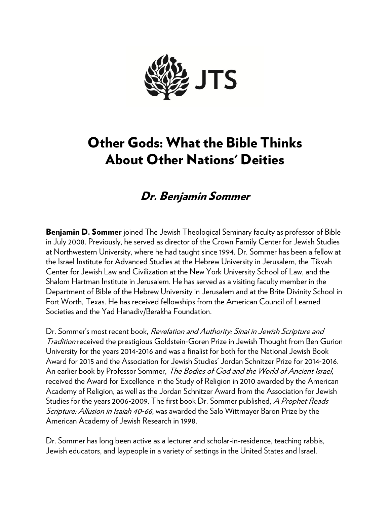

# Other Gods: What the Bible Thinks About Other Nations' Deities

# Dr. Benjamin Sommer

**Benjamin D. Sommer** joined The Jewish Theological Seminary faculty as professor of Bible in July 2008. Previously, he served as director of the Crown Family Center for Jewish Studies at Northwestern University, where he had taught since 1994. Dr. Sommer has been a fellow at the Israel Institute for Advanced Studies at the Hebrew University in Jerusalem, the Tikvah Center for Jewish Law and Civilization at the New York University School of Law, and the Shalom Hartman Institute in Jerusalem. He has served as a visiting faculty member in the Department of Bible of the Hebrew University in Jerusalem and at the Brite Divinity School in Fort Worth, Texas. He has received fellowships from the American Council of Learned Societies and the Yad Hanadiv/Berakha Foundation.

Dr. Sommer's most recent book, Revelation and Authority: Sinai in Jewish Scripture and Tradition received the prestigious Goldstein‐Goren Prize in Jewish Thought from Ben Gurion University for the years 2014‐2016 and was a finalist for both for the National Jewish Book Award for 2015 and the Association for Jewish Studies' Jordan Schnitzer Prize for 2014‐2016. An earlier book by Professor Sommer, The Bodies of God and the World of Ancient Israel, received the Award for Excellence in the Study of Religion in 2010 awarded by the American Academy of Religion, as well as the Jordan Schnitzer Award from the Association for Jewish Studies for the years 2006-2009. The first book Dr. Sommer published, A Prophet Reads Scripture: Allusion in Isaiah 40-66, was awarded the Salo Wittmayer Baron Prize by the American Academy of Jewish Research in 1998.

Dr. Sommer has long been active as a lecturer and scholar-in-residence, teaching rabbis, Jewish educators, and laypeople in a variety of settings in the United States and Israel.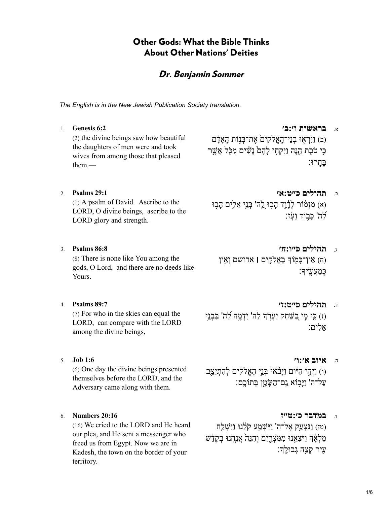# Other Gods: What the Bible Thinks About Other Nations' Deities

## Dr. Benjamin Sommer

*The English is in the New Jewish Publication Society translation.*

א. **[בראשית ו׳:ב׳](https://www.sefaria.org/Genesis.6.2) [6:2 Genesis](https://www.sefaria.org/Genesis.6.2)** 1.

(ב) וַיִּרְאָוּ בְנֵי־הָאֱלֹקִיםׂ אֶת־בְּנִוֹת הָאַדָם כֵּי טֹבֹת הֵנּה וַיִּקְחָוּ לִהֶם נַשִּׁים מִכָּל אֲשֶׁר בָּחָֽ רוּ׃

them.—

(1) A psalm of David. Ascribe to the LORD, O divine beings, ascribe to the LORD glory and strength.

(2) the divine beings saw how beautiful the daughters of men were and took wives from among those that pleased

(8) There is none like You among the gods, O Lord, and there are no deeds like Yours.

(7) For who in the skies can equal the LORD, can compare with the LORD among the divine beings,

(6) One day the divine beings presented themselves before the LORD, and the Adversary came along with them.

(16) We cried to the LORD and He heard our plea, and He sent a messenger who freed us from Egypt. Now we are in Kadesh, the town on the border of your territory.

# ב. **[תהילים כ״ט:א׳](https://www.sefaria.org/Psalms.29.1) [29:1 Psalms](https://www.sefaria.org/Psalms.29.1)** 2.

(א) מִזְמוֹר לְדָֿוֶד הָבְוּ לֵה' בְּנֵֵי אֱלֵים הָבְוּ לֵה' כּבִוֹד ועָׂז:

ג. **[תהילים פ״ו:ח׳](https://www.sefaria.org/Psalms.86.8) [86:8 Psalms](https://www.sefaria.org/Psalms.86.8)** 3. (ח) אֵין־כָּמְוֹדְ בָאֱלֹקִים | אדושם וְאֵין

כֵּמַעֲשֵׂיךָ:

- ד. **[תהילים פ״ט:ז׳](https://www.sefaria.org/Psalms.89.7) [89:7 Psalms](https://www.sefaria.org/Psalms.89.7)** 4. (ז) כִּי מֵי בַשַּׁחַק יַעֲרֹךְ לַה' יִדְמֵה לַה' בִּבְנֵי) :אלים
- ה. **[איוב א׳:ו׳](https://www.sefaria.org/Job.1.6) [1:6 Job](https://www.sefaria.org/Job.1.6)** 5. (ו) וַיְהֵי הַיּּׂוֹם וַיַּבֹּאוּּ בְּנֵי הָאֱלֹקִים לְהָתְיַצֵּב

עַל־ה' וַיָּב֥ וֹא גַֽם־הַשָּׂ טָ ֖ן בְּ תוֹכָֽם׃

ו. **[במדבר כ׳:ט״ז](https://www.sefaria.org/Numbers.20.16) [20:16 Numbers](https://www.sefaria.org/Numbers.20.16)** 6.

(טז) וַנִּצְעַק אֶל־ה' וַיִּשְׁמַע קֹלֵנוּ וַיִּשְׁלַח מַלְאָד וַיֹּצְאֵנוּ מִמְּצְרֵיִם וְהִנֵּה<sup>י</sup> אֲנַחָנוּ בְקַדֵּשׁ עֵיר קְצֵה גְבוּלֵךָ: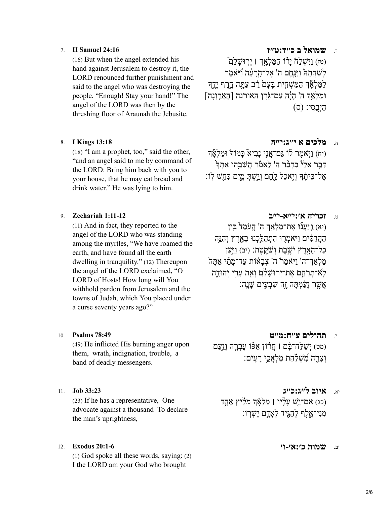(16) But when the angel extended his hand against Jerusalem to destroy it, the LORD renounced further punishment and said to the angel who was destroying the people, "Enough! Stay your hand!" The angel of the LORD was then by the threshing floor of Araunah the Jebusite.

(18) "I am a prophet, too," said the other, "and an angel said to me by command of the LORD: Bring him back with you to your house, that he may eat bread and drink water." He was lying to him.

(11) And in fact, they reported to the angel of the LORD who was standing among the myrtles, "We have roamed the earth, and have found all the earth dwelling in tranquility." (12) Thereupon the angel of the LORD exclaimed, "O LORD of Hosts! How long will You withhold pardon from Jerusalem and the towns of Judah, which You placed under a curse seventy years ago?"

(49) He inflicted His burning anger upon them, wrath, indignation, trouble, a band of deadly messengers.

(23) If he has a representative, One advocate against a thousand To declare the man's uprightness,

(1) God spoke all these words, saying: (2) I the LORD am your God who brought

### ז. **[שמואל ב כ״ד:ט״ז](https://www.sefaria.org/II_Samuel.24.16) [24:16 Samuel II](https://www.sefaria.org/II_Samuel.24.16)** 7.

(טז) וַיִּשְׁלַח יָדוֹ הַמַּלְאָךְ וּ יִרְוּשָׁלַם לְשַׁחֲתָהֹ וַיִּנַּחֶם ה' אֱל־הָרַעָּׂה וַֿיּאמֶר לַמַּלְאָّדְ הַמַּשְׁחֵית בּעם רַב עַתָּה הָרֵף יִדֶדְ וּמַלְאַדְ ה' הַיָּה עִם־גֹּרֵן האורנה [הָאֲרֵוְנַה] הַיְבֻסִֽ י׃ (ס)

### ח. **[מלכים א י״ג:י״ח](https://www.sefaria.org/I_Kings.13.18) [13:18 Kings I](https://www.sefaria.org/I_Kings.13.18)** 8.

וֹיח) וַיִּאמֶר לוֹ גַּם־אֲנֵי נִבִיאׂ כּמוֹדְ וּמַלְאָ*֫*דְ דִּבֵּר אֵלִ<sup>וּ</sup> בִּדְבָּר ה' לֵאמֹר הַשָּׁבֵהוּ אִתְּדְּ ָ אֱל־בֵּיתֵ֫דְּ וְיִאָכָל לֶחֱם וְיֵשֶׁתְּ מִיָּם כָּחֲשׁ לוֹ:

### ט. **[זכריה א׳:י״א-י״ב](https://www.sefaria.org/Zechariah.1.11-12) [1:11-12 Zechariah](https://www.sefaria.org/Zechariah.1.11-12)** 9.

(יא) וַ יַּעֲנוֹ אֶת־מַלְאֵדְ ה' הֻעֹמֵד<sup>י</sup> בֵּין הַהֲדַסִּים וַיֹּאמְרִוּ הֵתְהַלֵּכְנוּ בַאָרֶץ וְהֶנֵּה כָל־הָאָרֶץ יֹּשֱבֶת וְשֹׁקִטֶת: (יב) וַיִּעֲן מַלְאַדִּ־ה' וַיֹּאמַרֹ ה' צְבֹאוֹת עַד־מֹתַי אַתּה ְלֹא־תְרַחֱם אֶת־יִרוּשָׁלֵם וְאֶת עֲרֵי יְהוּדֵה אֲשֶׁר זִעֲמָתּה זֶה שָׁבְעֵים שַׁנָה:

י. **[תהילים ע״ח:מ״ט](https://www.sefaria.org/Psalms.78.49) [78:49 Psalms](https://www.sefaria.org/Psalms.78.49)** 10. (מט) יְשַׁלַח־בָּ**ֿם | חֲרוֹן אַפּֿוֹ עֶבְרֶה וָזַעַם** וְ נַאֲרָה *מִ*שְׁלַחַת מַלְאֲכֵי רָעִים:

# יא. **[איוב ל״ג:כ״ג](https://www.sefaria.org/Job.33.23) [33:23 Job](https://www.sefaria.org/Job.33.23)** 11.

(כג) אָם־יֵישׁ עֲלָיו | מַלְאָ֫ךְ מֶלְיץ אֶחֱד מִנִּי־אָלֶף לְהָגִּיד לְאָדָם יִשְׁרָוֹ:

### יב. **[שמות כ׳:א׳-ו׳](https://www.sefaria.org/Exodus.20.1-6) [20:1-6 Exodus](https://www.sefaria.org/Exodus.20.1-6)** 12.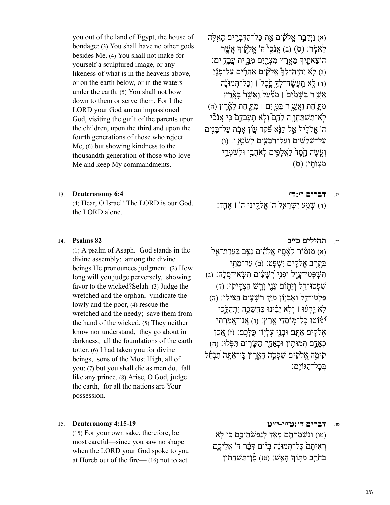you out of the land of Egypt, the house of bondage: (3) You shall have no other gods besides Me. (4) You shall not make for yourself a sculptured image, or any likeness of what is in the heavens above, or on the earth below, or in the waters under the earth. (5) You shall not bow down to them or serve them. For I the LORD your God am an impassioned God, visiting the guilt of the parents upon the children, upon the third and upon the fourth generations of those who reject Me, (6) but showing kindness to the thousandth generation of those who love Me and keep My commandments.

(4) Hear, O Israel! The LORD is our God, עֲקֵינוּ ה' וּאֲחֲדָ: וּיֹשְׂ מַעֲ יִשְׂ לַקְינוּ ה' וּ the LORD alone.

(1) A psalm of Asaph. God stands in the divine assembly; among the divine beings He pronounces judgment. (2) How long will you judge perversely, showing favor to the wicked?Selah. (3) Judge the wretched and the orphan, vindicate the lowly and the poor, (4) rescue the wretched and the needy; save them from the hand of the wicked. (5) They neither know nor understand, they go about in darkness; all the foundations of the earth totter. (6) I had taken you for divine beings, sons of the Most High, all of you; (7) but you shall die as men do, fall like any prince. (8) Arise, O God, judge the earth, for all the nations are Your possession.

### טו. **[דברים ד׳:ט״ו-י״ט](https://www.sefaria.org/Deuteronomy.4.15-19) [4:15-19 Deuteronomy](https://www.sefaria.org/Deuteronomy.4.15-19)** 15.

(15) For your own sake, therefore, be most careful—since you saw no shape when the LORD your God spoke to you at Horeb out of the fire— (16) not to act

(א) וַיִּדַבֵּ֣ר אֱלֹקִים אֵת כַּל־הַדְּבַרִים הַאֲלֶּה) לֵאמִׂר: (ס) (ב) אֲנֹכִי ה' אֱלֹקֵ֫יִךְ אֲשֱר הוֹצֵאתֵיךְ מִאֲרֵץ מִצְרֵיִם מְבֵּ֣ יִת עֲבַדֵ֣ יִם׃ (ג) לֹא יִהְיֵה־לְךָ אֲלֹקִים אֶחֶרִים עַל־פּּנַי) (ג) (ד) לֹא תַעֲשֱׂה־לְךָ כֵּסֶל<sup>י</sup> | וְכַל־תִּמוּנַ<u>ּ</u>ׂה אַשֵׁ ר בַּשֵּׁמֵׂיָם ׁן מִמַּעַל וַאֲשֶׁר בּּאָרַץ מִתּ חַת וַאֲשֵׁ ר בַּמֵּ יִם | מִתְּ חַת לֹאָרֵץ (ה) לֹא־תִשְׁתַּחֵו ה לֹהֶםׂ וְלֹא תִעַבְדֶם כֵּי אֲנֹכִי ה' אֱלֹקֵיׁדִּ אֱל קַנֵּׂא פֿקֵד עֲוֹן אַבָת עַל־בּּנֵים ַעֲלִ־שָׁלְּשֵׁיִם וְעַל־רְבֵּעֲיִם לְשֹׂנָאָ י: (ו) וְ עֵׂ עֵׂה חֶםָד<sup>ָ</sup> לַאֲלִפִים לְאֹהֲבֵי וּלְשֹׁמְרֵי מִצְוֹתְי: (ס)

יג. **[דברים ו׳:ד׳](https://www.sefaria.org/Deuteronomy.6.4) [6:4 Deuteronomy](https://www.sefaria.org/Deuteronomy.6.4)** 13.

### יד. **[תהילים פ״ב](https://www.sefaria.org/Psalms.82) [82 Psalms](https://www.sefaria.org/Psalms.82)** 14.

(א) מִזְמוֹר לְאָ2ֵם אֱלֹהָים נִצֵּב בַּעֲדַת־אֱל ּ בְּקֶרֶב אֱלֹקִים יִשְׁפִּּט: (ב) עַד־מַתֵי תִּ שְׁ פְּ טוּ־עָ ֑וֶל וּפְ נֵ֥י רְ֝ שָׁ עִ֗ ים תִּ שְׂ אוּ־סֶֽ לָה׃ (ג) ֹשִׁפְטוּ־דַל וְיַתְוֹם עֲנֵי וַרֵשׁ הַצְדֵּיקוּ: (ד) ַפַּלְּטוּ־דַל וְאֶבְיָוֹן מְיַּדְ רְשָׁעֵים הַצֵּילוּ: (ה) לֹא יַדְעוּ | וְלֹא יַבִרנוּ בַּחֲשֶׁכֵה יִתְהַלֵּכוּ יָמּׂוֹטוּ כַּל־מְוֹסְדֵי אָרֶץ: (ו) אֲנִי־אָמַרְתֵּי אֱלֹקֵים אַתֲם וּבְנֵי עֵלְיִוֹן כַּלְּכֵֵם: (ז) אֲכֵן כְאָדָם תְּמוּתֶוּן וּכְאַחַד הַשָּׂרִים תִּפְּלוּ: (ח) קוּמֵה אֱלֹקִים שַׁפְטֵה הָאֲרֶץ כֵּי־אַתֲּה תְׁנִחַּל בִּכל־הַגּוֹיֵם:

(טו) ֤ וְ נִשְׁ מַ רְ תֶּ ֥ ם מְ אֹ֖ ד לְנַפְ שֹׁתֵ יכֶ ֑ם כִּ ֣י לֹא רְאִיתֶם כַּל־תְּמוּנַׂה בְּיוֹם דָּבֶּ֫ר ה' אֲלֵיכֵם בְּחֹרֵב מִתְּוֹדְ הָאֵֽשׁ: (טז) פֵּ֫ן־תַּשָׁחָתוּוּ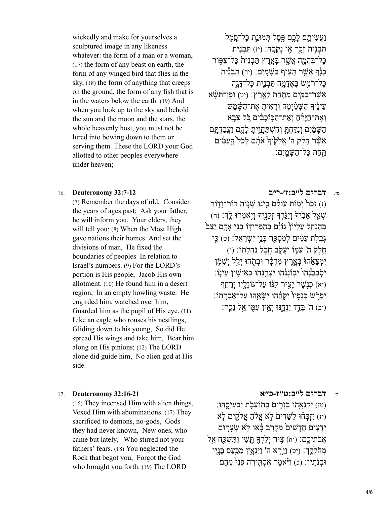wickedly and make for yourselves a sculptured image in any likeness whatever: the form of a man or a woman, (17) the form of any beast on earth, the form of any winged bird that flies in the sky, (18) the form of anything that creeps on the ground, the form of any fish that is in the waters below the earth. (19) And when you look up to the sky and behold the sun and the moon and the stars, the whole heavenly host, you must not be lured into bowing down to them or serving them. These the LORD your God allotted to other peoples everywhere under heaven;

# וַעֲשִׂיתֵם לַכֵּם פֵּסֶל תִּמוּנַת כַּל־סַמֶל תַּבְנִית זָכֶר אָוֹ נְקֵבֶה: (יז) תַּבְנִּית כַּל־בְּהֶמָה אֲשֶׁר בַּאָרֵץ תַּבְנִית כַּל־צִפּּֽוֹר כּנִ֫ף אֲשֶׁר תִּעָּוּף בַּשֵּׁמַיִם: (יח) תַּבְנִּית כַּל־רֹמֵשׁ בַּאֲדָמֵה תַּבְנֵית כַּל־דַּגֵה אַשֶׁר־בַּמֵּיִם מִתַּחַת לִאָרֶץ: (יט) וּפֶן־תַּשָּׂא עִינָיד הַשַּׁמַיִמה וְרָאִית אַת־הַשָּׁמַשׁ וְאֶת־הַיּרָׁחַ וְאֶת־הַכִּוּכִבִּים כֹּל צְבָא הַשַּׁמַּיִם וְנִדַּחָתֵ וְהִשְׁתַּחֵוִיתַ לָהֶם וַעֲבַדְתַּם אֲשֶׁר חַלַ $\eta$  ה' אֱלֹקֵיד אֹתִם לְכֹל הָעֲמֵים תֵּחַת כּל־הַשַּׁמְיִם:

### טז. **[דברים ל״ב:ז׳-י״ב](https://www.sefaria.org/Deuteronomy.32.7-12) [32:7-12 Deuteronomy](https://www.sefaria.org/Deuteronomy.32.7-12)** 16.

(7) Remember the days of old, Consider the years of ages past; Ask your father, he will inform you, Your elders, they will tell you: (8) When the Most High gave nations their homes And set the divisions of man, He fixed the boundaries of peoples In relation to Israel's numbers. (9) For the LORD's portion is His people, Jacob His own allotment. (10) He found him in a desert region, In an empty howling waste. He engirded him, watched over him, Guarded him as the pupil of His eye. (11) Like an eagle who rouses his nestlings, Gliding down to his young, So did He spread His wings and take him, Bear him along on His pinions; (12) The LORD alone did guide him, No alien god at His side.

(16) They incensed Him with alien things, Vexed Him with abominations. (17) They sacrificed to demons, no-gods, Gods they had never known, New ones, who came but lately, Who stirred not your fathers' fears. (18) You neglected the Rock that begot you, Forgot the God who brought you forth. (19) The LORD

וֹז) זָכֹר<sup>י</sup> יְמִוֹת עוֹלָם בִּינוּ שָׁנְוֹת דּוֹר־וָדֶוֹר (ה) שְׁאֲל אָבְי<sup>ֹ</sup>דְ וְיַגֵּדְדָ זְקֶנֶיִךְ וְיָאמְרוּ לֵךְ: (ח בְּהַנְחֵל עֵלְיוֹןۛ גּוֹיִם בְּהַפְרִידָוֹ בְּנֵי אֲדָם יַצֵּב גְּבָלְת עַמִּ֫ים לְמִסְפַּר בְּנֵי יִשְׂרַאֱלֹ: (ט) כֵּי חֵ֥לֶק ה' עַמּ֑ וֹ יַעֲקֹ֖ ב חֶ ֥בֶל נַחֲלָתֽ וֹ׃ (י) יִמְצַאֲהוֹ בָּאֲרֵץ מִדְבֵּׁר וּבְתָׂהוּ יְלֵל יִשְׁמֹּן יִסְׁבְבֶ<sup>ּ</sup>נָהוּ יִבְוֹנְנֵהוּ יִצְרֵנְהוּ כְּאִישָׁוֹן עֵינָוֹ: (יא) כִּ נָ $\mathbb{W}$ רֹ יִעֲיר קִנּוֹ עַל־גּוֹזְלִיו יְרַחֵף יִפְרֹשׂ כָּנִפ<sup>ָּ</sup>ו<sup>{</sup> יִקְחֶהוּ יְשַׂאֲהוּ עַל־אֲבְרְתֵוֹ (יב) ה' בּדָד יַנְחֲנּוּ וְאֵין עָמּׂוֹ אֵל נֵכָר:

### יז. **[דברים ל״ב:ט״ז-כ״א](https://www.sefaria.org/Deuteronomy.32.16-21) [32:16-21 Deuteronomy](https://www.sefaria.org/Deuteronomy.32.16-21)** 17.

(טז) יַקְנָאָהוּ בְּזֶרִים בְּתוֹעֶבָת יַכְעִיסָהוּ: (יז) יִזְבְּחוּ לַשֵּׁדִים לֹא אֱלֹה אֱלֹהָ יִם לֹא יִדַעָּוּם חֲדַשִׁים מִקַרֹב בַּ֫אוּ לֹא שָׂעַרִוּם אֲבֹתֵיכֶם: (יח) צִוּר יִלָּדְךָּ תֲשָׁי וַתְּשָׁכַּח אֵל מְחֹלְלֶךְ: (יט) וַיֵּרְא ה' וַיִּנְאַץ מְכַּעַס בַּנַיִו וּבְנֹתִיו: (כ) וַיֹּאמֶר אַסְתֵּירה פִנַ<sup>ל</sup> מֶדֶ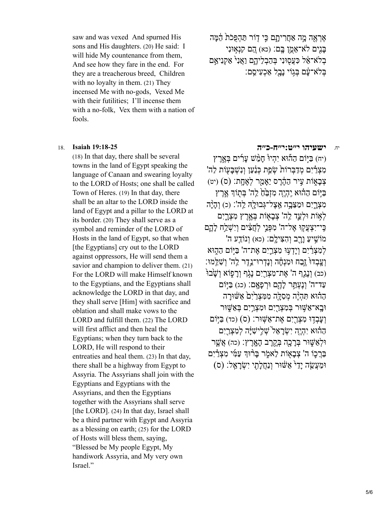saw and was vexed And spurned His sons and His daughters. (20) He said: I will hide My countenance from them, And see how they fare in the end. For they are a treacherous breed, Children with no loyalty in them. (21) They incensed Me with no-gods, Vexed Me with their futilities; I'll incense them with a no-folk, Vex them with a nation of fools.

(18) In that day, there shall be several towns in the land of Egypt speaking the language of Canaan and swearing loyalty to the LORD of Hosts; one shall be called Town of Heres. (19) In that day, there shall be an altar to the LORD inside the land of Egypt and a pillar to the LORD at its border. (20) They shall serve as a symbol and reminder of the LORD of Hosts in the land of Egypt, so that when [the Egyptians] cry out to the LORD against oppressors, He will send them a savior and champion to deliver them. (21) For the LORD will make Himself known to the Egyptians, and the Egyptians shall acknowledge the LORD in that day, and they shall serve [Him] with sacrifice and oblation and shall make vows to the LORD and fulfill them. (22) The LORD will first afflict and then heal the Egyptians; when they turn back to the LORD, He will respond to their entreaties and heal them. (23) In that day, there shall be a highway from Egypt to Assyria. The Assyrians shall join with the Egyptians and Egyptians with the Assyrians, and then the Egyptians together with the Assyrians shall serve [the LORD]. (24) In that day, Israel shall be a third partner with Egypt and Assyria as a blessing on earth; (25) for the LORD of Hosts will bless them, saying, "Blessed be My people Egypt, My handiwork Assyria, and My very own Israel."

אֶרְאֶה מֶה אַחֲרִיתֲם כֵּי דָוֹר תַּהָפְּכֹת הֵמֵּה ּבַּנִים לֹא־אֵמֶן בֵּם: (כא) הֵם קִנְאִוּנִי בִלֹא־אֵל כִּעֲסִוּנִי בְּהַבְלֵיהֶם וַאֲנִי אַקְנִיאֵם בּלֹא־עַם בִּגְוֹי נַבַל אַכְעִיסֱם:

### יח. **[ישעיהו י״ט:י״ח-כ״ה](https://www.sefaria.org/Isaiah.19.18-25) [19:18-25 Isaiah](https://www.sefaria.org/Isaiah.19.18-25)** 18.

(יח) בַּיִּוֹם הַהוּא יָהָיוּ חַמֵּֽשׁ עַרִים בְּאֶרֶץ מִצְרַ֫יִם מִדַּבְּרוֹת שָׂפֵת כִּנַּעַן וְנִשְׁבִּעָוֹת לַה' ֹצְבָאָוֹת עֵיר הַהֶדֶס יֵאֲמֶר לְאֶחֱת: (ס) (יט) ַבְּיִּוֹם הַהוּא יֶהֶיֶה מִזְבֵּהַ לַּה' בְּתוֹדְ אֶרֶץ מִצְרֵיִם וּמַצֶּבֵה אֱצֵל־גְּבוּלֵהְ לֵה': (כ) וְהָיָּה לְאָוֹת וּלְעֱד לֵה' צְבָאָוֹת בְּאֱרֵץ מִצְרֵיִם כֵּי־יִצְעֲקָוּ אֶל־ה' מִפְּנֵי לְחֲצִׂים וְיִשְׁלֵח לַהֱם 'מוֹשֵׁיעַ וַרְב וְהָצִילָם: (כא) וְנוֹדֵע ה לְמִצְרַיִם וְיִדְעָוּ מִצְרֵיִם אֶת־ה' בַּיִּוֹם הַהִוּא וְ עֲבְדוּ זֶבַח וּמִנְחָה וְנַדְרוּ־נֵ֣ דֶר לֵה' וְשָׁלֵּֽמוּ׃ (כב) וְנַגֵף ה' אֱת־מִצְרַיִם נַגְׂף וְרַפְוֹא וְשָׁבוּ עַד־ה' וְנֵעָתֵּר לְהֶם וּרְפִאָם: (כג) בַּיִּּוֹם הַהוּא תִּהְיָה מִסְלָה מִמְצְרַיָם אֲשׁׁוּרה וּבָא־אַשָּׁוּר בְּמְצְרֵיִם וּמְצְרֵיִם בְּאֲשֶׁוּר וְ וְעָבְדָוּ מִצְרֵיִם אֶת־אֱשֶׁוּר: (ס) (כד) בַּיּּֽוֹם הַהוּא יְהָיֵה יְשָׂראֵל<sup>י </sup>שָׁלִישִׁיּה לְמִצְרֵיִם וּלְאַשָּׁוּר בְּרָכָה בְּקֶרֶב הָאֲרֶץ: (כה) אֲשֱר בִּרֲכֶוֹ ה' צְבָאָוֹת לֵאמֶׂר בָּרוּדְ עַמִּי מִצְרַ֫יִם וּמַעֲשֶׂה יַדַ<sup>ל</sup> אַשׁוּר וְנַחֲלְתִי יִשְׂרֹאֵל: (ס)